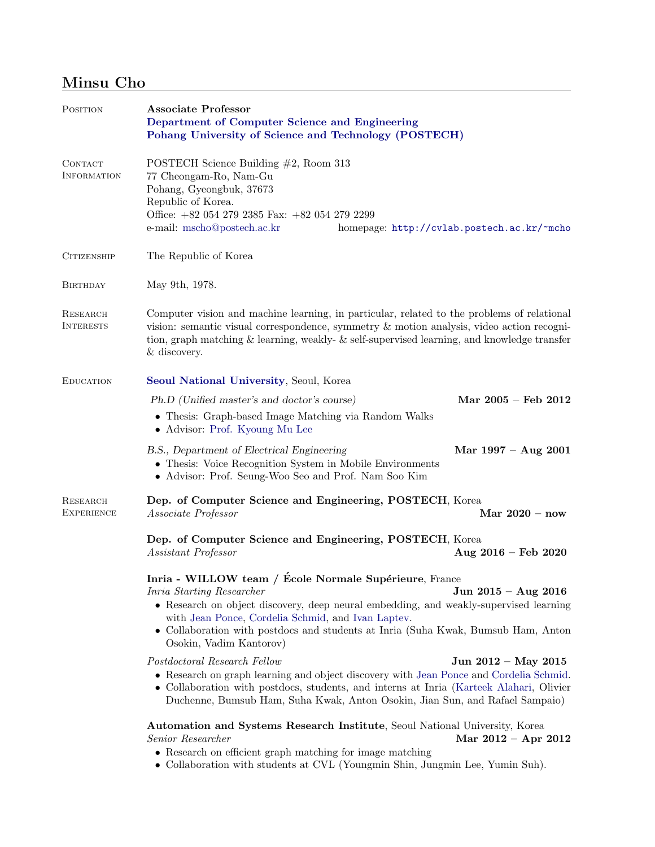# Minsu Cho

| <b>POSITION</b>                      | <b>Associate Professor</b><br>Department of Computer Science and Engineering<br>Pohang University of Science and Technology (POSTECH)                                                                                                                                                                                                              |                                            |  |
|--------------------------------------|----------------------------------------------------------------------------------------------------------------------------------------------------------------------------------------------------------------------------------------------------------------------------------------------------------------------------------------------------|--------------------------------------------|--|
| CONTACT<br><b>INFORMATION</b>        | POSTECH Science Building #2, Room 313<br>77 Cheongam-Ro, Nam-Gu<br>Pohang, Gyeongbuk, 37673<br>Republic of Korea.<br>Office: $+82$ 054 279 2385 Fax: $+82$ 054 279 2299<br>e-mail: mscho@postech.ac.kr                                                                                                                                             | homepage: http://cvlab.postech.ac.kr/~mcho |  |
| <b>CITIZENSHIP</b>                   | The Republic of Korea                                                                                                                                                                                                                                                                                                                              |                                            |  |
| <b>BIRTHDAY</b>                      | May 9th, 1978.                                                                                                                                                                                                                                                                                                                                     |                                            |  |
| RESEARCH<br><b>INTERESTS</b>         | Computer vision and machine learning, in particular, related to the problems of relational<br>vision: semantic visual correspondence, symmetry & motion analysis, video action recogni-<br>tion, graph matching & learning, weakly- & self-supervised learning, and knowledge transfer<br>& discovery.                                             |                                            |  |
| <b>EDUCATION</b>                     | Seoul National University, Seoul, Korea                                                                                                                                                                                                                                                                                                            |                                            |  |
|                                      | Ph.D (Unified master's and doctor's course)                                                                                                                                                                                                                                                                                                        | Mar $2005 -$ Feb $2012$                    |  |
|                                      | • Thesis: Graph-based Image Matching via Random Walks<br>• Advisor: Prof. Kyoung Mu Lee                                                                                                                                                                                                                                                            |                                            |  |
|                                      | B.S., Department of Electrical Engineering<br>• Thesis: Voice Recognition System in Mobile Environments<br>• Advisor: Prof. Seung-Woo Seo and Prof. Nam Soo Kim                                                                                                                                                                                    | Mar $1997 - Aug 2001$                      |  |
| <b>RESEARCH</b><br><b>EXPERIENCE</b> | Dep. of Computer Science and Engineering, POSTECH, Korea<br>Associate Professor                                                                                                                                                                                                                                                                    | Mar $2020 - now$                           |  |
|                                      | Dep. of Computer Science and Engineering, POSTECH, Korea<br>Assistant Professor                                                                                                                                                                                                                                                                    | Aug $2016$ – Feb $2020$                    |  |
|                                      | Inria - WILLOW team / École Normale Supérieure, France<br>Inria Starting Researcher<br>• Research on object discovery, deep neural embedding, and weakly-supervised learning<br>with Jean Ponce, Cordelia Schmid, and Ivan Laptev.<br>• Collaboration with postdocs and students at Inria (Suha Kwak, Bumsub Ham, Anton<br>Osokin, Vadim Kantorov) | Jun 2015 – Aug 2016                        |  |
|                                      | Postdoctoral Research Fellow<br>• Research on graph learning and object discovery with Jean Ponce and Cordelia Schmid.<br>• Collaboration with postdocs, students, and interns at Inria (Karteek Alahari, Olivier<br>Duchenne, Bumsub Ham, Suha Kwak, Anton Osokin, Jian Sun, and Rafael Sampaio)                                                  | Jun 2012 – May 2015                        |  |
|                                      | Automation and Systems Research Institute, Seoul National University, Korea<br>Senior Researcher<br>• Research on efficient graph matching for image matching                                                                                                                                                                                      | Mar $2012 -$ Apr $2012$                    |  |

• Collaboration with students at CVL (Youngmin Shin, Jungmin Lee, Yumin Suh).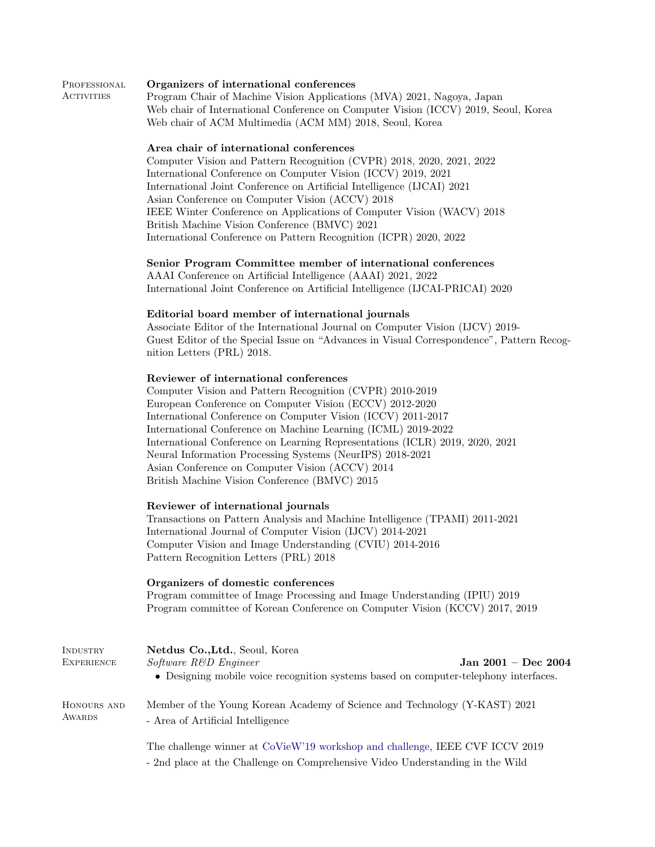#### PROFESSIONAL Organizers of international conferences

**ACTIVITIES** Program Chair of Machine Vision Applications (MVA) 2021, Nagoya, Japan Web chair of International Conference on Computer Vision (ICCV) 2019, Seoul, Korea Web chair of ACM Multimedia (ACM MM) 2018, Seoul, Korea

#### Area chair of international conferences

Computer Vision and Pattern Recognition (CVPR) 2018, 2020, 2021, 2022 International Conference on Computer Vision (ICCV) 2019, 2021 International Joint Conference on Artificial Intelligence (IJCAI) 2021 Asian Conference on Computer Vision (ACCV) 2018 IEEE Winter Conference on Applications of Computer Vision (WACV) 2018 British Machine Vision Conference (BMVC) 2021 International Conference on Pattern Recognition (ICPR) 2020, 2022

# Senior Program Committee member of international conferences

AAAI Conference on Artificial Intelligence (AAAI) 2021, 2022 International Joint Conference on Artificial Intelligence (IJCAI-PRICAI) 2020

## Editorial board member of international journals

Associate Editor of the International Journal on Computer Vision (IJCV) 2019- Guest Editor of the Special Issue on "Advances in Visual Correspondence", Pattern Recognition Letters (PRL) 2018.

## Reviewer of international conferences

Computer Vision and Pattern Recognition (CVPR) 2010-2019 European Conference on Computer Vision (ECCV) 2012-2020 International Conference on Computer Vision (ICCV) 2011-2017 International Conference on Machine Learning (ICML) 2019-2022 International Conference on Learning Representations (ICLR) 2019, 2020, 2021 Neural Information Processing Systems (NeurIPS) 2018-2021 Asian Conference on Computer Vision (ACCV) 2014 British Machine Vision Conference (BMVC) 2015

# Reviewer of international journals

Transactions on Pattern Analysis and Machine Intelligence (TPAMI) 2011-2021 International Journal of Computer Vision (IJCV) 2014-2021 Computer Vision and Image Understanding (CVIU) 2014-2016 Pattern Recognition Letters (PRL) 2018

#### Organizers of domestic conferences

Program committee of Image Processing and Image Understanding (IPIU) 2019 Program committee of Korean Conference on Computer Vision (KCCV) 2017, 2019

| INDUSTRY              | Netdus Co., Ltd., Seoul, Korea                                                                                  |                     |  |
|-----------------------|-----------------------------------------------------------------------------------------------------------------|---------------------|--|
| <b>EXPERIENCE</b>     | $Software$ $R\&D$ $Enqiner$                                                                                     | Jan 2001 – Dec 2004 |  |
|                       | • Designing mobile voice recognition systems based on computer-telephony interfaces.                            |                     |  |
| HONOURS AND<br>AWARDS | Member of the Young Korean Academy of Science and Technology (Y-KAST) 2021<br>- Area of Artificial Intelligence |                     |  |
|                       | The challenge winner at CoVieW'19 workshop and challenge, IEEE CVF ICCV 2019                                    |                     |  |

- 2nd place at the Challenge on Comprehensive Video Understanding in the Wild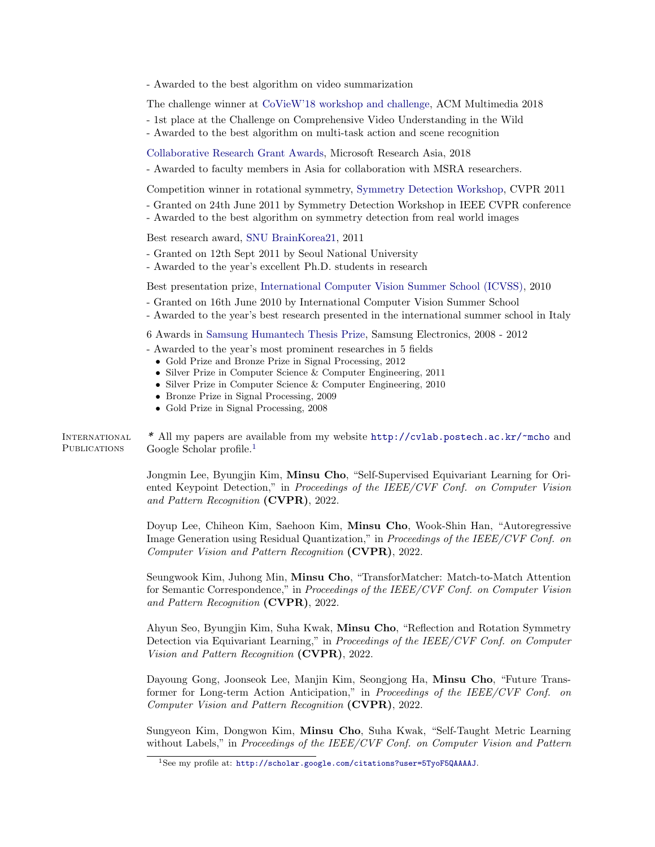- Awarded to the best algorithm on video summarization

The challenge winner at [CoVieW'18 workshop and challenge,](http://vision.cse.psu.edu/research/symmComp/workshop/index.shtml) ACM Multimedia 2018

- 1st place at the Challenge on Comprehensive Video Understanding in the Wild

- Awarded to the best algorithm on multi-task action and scene recognition

[Collaborative Research Grant Awards,](https://www.microsoft.com/en-us/research/lab/microsoft-research-asia/articles/msra-collaborative-research-2018-award-announcement/) Microsoft Research Asia, 2018

- Awarded to faculty members in Asia for collaboration with MSRA researchers.

Competition winner in rotational symmetry, [Symmetry Detection Workshop,](http://vision.cse.psu.edu/research/symmComp/workshop/index.shtml) CVPR 2011

- Granted on 24th June 2011 by Symmetry Detection Workshop in IEEE CVPR conference

- Awarded to the best algorithm on symmetry detection from real world images

Best research award, [SNU BrainKorea21,](http://www.useoul.edu/research/bk21-groups) 2011

- Granted on 12th Sept 2011 by Seoul National University
- Awarded to the year's excellent Ph.D. students in research

Best presentation prize, [International Computer Vision Summer School \(ICVSS\),](http://svg.dmi.unict.it/icvss2010/) 2010

- Granted on 16th June 2010 by International Computer Vision Summer School
- Awarded to the year's best research presented in the international summer school in Italy

6 Awards in [Samsung Humantech Thesis Prize,](http://www.osu.edu) Samsung Electronics, 2008 - 2012

- Awarded to the year's most prominent researches in 5 fields
- Gold Prize and Bronze Prize in Signal Processing, 2012
- Silver Prize in Computer Science & Computer Engineering, 2011
- Silver Prize in Computer Science & Computer Engineering, 2010
- Bronze Prize in Signal Processing, 2009
- Gold Prize in Signal Processing, 2008

**INTERNATIONAL PUBLICATIONS** \* All my papers are available from my website <http://cvlab.postech.ac.kr/~mcho> and Google Scholar profile.[1](#page-2-0)

> Jongmin Lee, Byungjin Kim, Minsu Cho, "Self-Supervised Equivariant Learning for Oriented Keypoint Detection," in Proceedings of the IEEE/CVF Conf. on Computer Vision and Pattern Recognition (CVPR), 2022.

> Doyup Lee, Chiheon Kim, Saehoon Kim, Minsu Cho, Wook-Shin Han, "Autoregressive Image Generation using Residual Quantization," in Proceedings of the IEEE/CVF Conf. on Computer Vision and Pattern Recognition (CVPR), 2022.

> Seungwook Kim, Juhong Min, Minsu Cho, "TransforMatcher: Match-to-Match Attention for Semantic Correspondence," in Proceedings of the IEEE/CVF Conf. on Computer Vision and Pattern Recognition (CVPR), 2022.

> Ahyun Seo, Byungjin Kim, Suha Kwak, Minsu Cho, "Reflection and Rotation Symmetry Detection via Equivariant Learning," in Proceedings of the IEEE/CVF Conf. on Computer Vision and Pattern Recognition (CVPR), 2022.

> Dayoung Gong, Joonseok Lee, Manjin Kim, Seongjong Ha, Minsu Cho, "Future Transformer for Long-term Action Anticipation," in Proceedings of the IEEE/CVF Conf. on Computer Vision and Pattern Recognition (CVPR), 2022.

> Sungyeon Kim, Dongwon Kim, Minsu Cho, Suha Kwak, "Self-Taught Metric Learning without Labels," in Proceedings of the IEEE/CVF Conf. on Computer Vision and Pattern

<span id="page-2-0"></span> $1$ See my profile at: <http://scholar.google.com/citations?user=5TyoF5QAAAAJ>.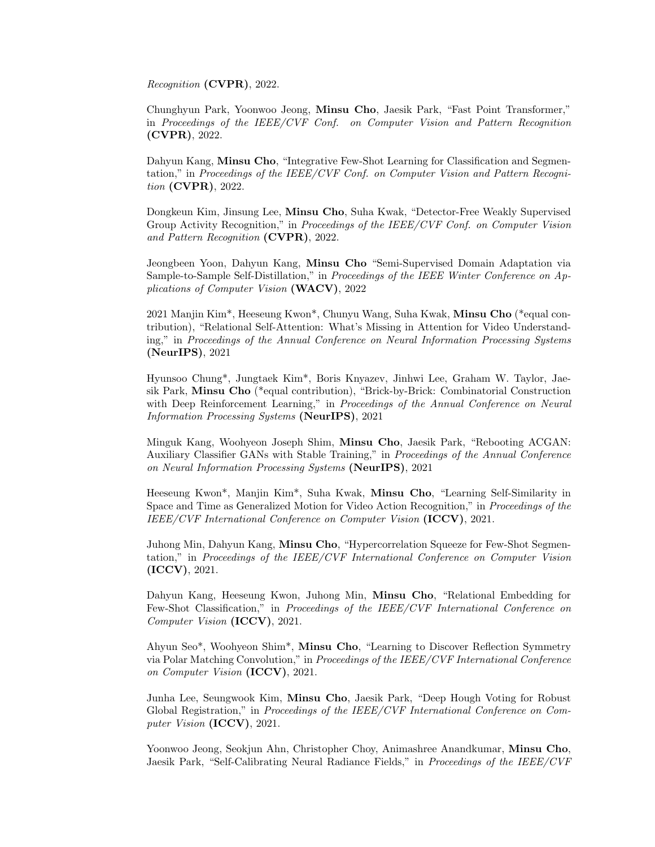Recognition (CVPR), 2022.

Chunghyun Park, Yoonwoo Jeong, Minsu Cho, Jaesik Park, "Fast Point Transformer," in Proceedings of the IEEE/CVF Conf. on Computer Vision and Pattern Recognition (CVPR), 2022.

Dahyun Kang, Minsu Cho, "Integrative Few-Shot Learning for Classification and Segmentation," in Proceedings of the IEEE/CVF Conf. on Computer Vision and Pattern Recognition (CVPR), 2022.

Dongkeun Kim, Jinsung Lee, Minsu Cho, Suha Kwak, "Detector-Free Weakly Supervised Group Activity Recognition," in Proceedings of the IEEE/CVF Conf. on Computer Vision and Pattern Recognition (CVPR), 2022.

Jeongbeen Yoon, Dahyun Kang, Minsu Cho "Semi-Supervised Domain Adaptation via Sample-to-Sample Self-Distillation," in Proceedings of the IEEE Winter Conference on Applications of Computer Vision (WACV), 2022

2021 Manjin Kim\*, Heeseung Kwon\*, Chunyu Wang, Suha Kwak, Minsu Cho (\*equal contribution), "Relational Self-Attention: What's Missing in Attention for Video Understanding," in Proceedings of the Annual Conference on Neural Information Processing Systems (NeurIPS), 2021

Hyunsoo Chung\*, Jungtaek Kim\*, Boris Knyazev, Jinhwi Lee, Graham W. Taylor, Jaesik Park, Minsu Cho (\*equal contribution), "Brick-by-Brick: Combinatorial Construction with Deep Reinforcement Learning," in Proceedings of the Annual Conference on Neural Information Processing Systems (NeurIPS), 2021

Minguk Kang, Woohyeon Joseph Shim, Minsu Cho, Jaesik Park, "Rebooting ACGAN: Auxiliary Classifier GANs with Stable Training," in Proceedings of the Annual Conference on Neural Information Processing Systems (NeurIPS), 2021

Heeseung Kwon\*, Manjin Kim\*, Suha Kwak, Minsu Cho, "Learning Self-Similarity in Space and Time as Generalized Motion for Video Action Recognition," in Proceedings of the IEEE/CVF International Conference on Computer Vision (ICCV), 2021.

Juhong Min, Dahyun Kang, Minsu Cho, "Hypercorrelation Squeeze for Few-Shot Segmentation," in Proceedings of the IEEE/CVF International Conference on Computer Vision (ICCV), 2021.

Dahyun Kang, Heeseung Kwon, Juhong Min, Minsu Cho, "Relational Embedding for Few-Shot Classification," in Proceedings of the IEEE/CVF International Conference on Computer Vision (ICCV), 2021.

Ahyun Seo\*, Woohyeon Shim\*, Minsu Cho, "Learning to Discover Reflection Symmetry via Polar Matching Convolution," in Proceedings of the IEEE/CVF International Conference on Computer Vision (ICCV), 2021.

Junha Lee, Seungwook Kim, Minsu Cho, Jaesik Park, "Deep Hough Voting for Robust Global Registration," in Proceedings of the IEEE/CVF International Conference on Computer Vision (ICCV), 2021.

Yoonwoo Jeong, Seokjun Ahn, Christopher Choy, Animashree Anandkumar, Minsu Cho, Jaesik Park, "Self-Calibrating Neural Radiance Fields," in Proceedings of the IEEE/CVF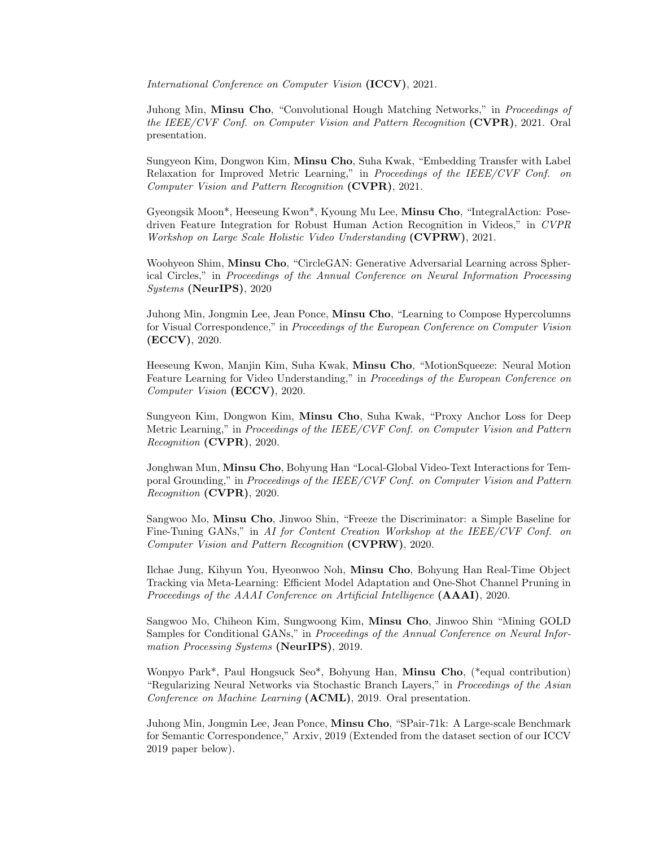International Conference on Computer Vision (ICCV), 2021.

Juhong Min, Minsu Cho, "Convolutional Hough Matching Networks," in *Proceedings of* the IEEE/CVF Conf. on Computer Vision and Pattern Recognition (CVPR), 2021. Oral presentation.

Sungyeon Kim, Dongwon Kim, Minsu Cho, Suha Kwak, "Embedding Transfer with Label Relaxation for Improved Metric Learning," in Proceedings of the IEEE/CVF Conf. on Computer Vision and Pattern Recognition (CVPR), 2021.

Gyeongsik Moon\*, Heeseung Kwon\*, Kyoung Mu Lee, Minsu Cho, "IntegralAction: Posedriven Feature Integration for Robust Human Action Recognition in Videos," in CVPR Workshop on Large Scale Holistic Video Understanding (CVPRW), 2021.

Woohyeon Shim, Minsu Cho, "CircleGAN: Generative Adversarial Learning across Spherical Circles," in Proceedings of the Annual Conference on Neural Information Processing Systems (NeurIPS), 2020

Juhong Min, Jongmin Lee, Jean Ponce, Minsu Cho, "Learning to Compose Hypercolumns for Visual Correspondence," in Proceedings of the European Conference on Computer Vision (ECCV), 2020.

Heeseung Kwon, Manjin Kim, Suha Kwak, Minsu Cho, "MotionSqueeze: Neural Motion Feature Learning for Video Understanding," in Proceedings of the European Conference on Computer Vision (ECCV), 2020.

Sungyeon Kim, Dongwon Kim, Minsu Cho, Suha Kwak, "Proxy Anchor Loss for Deep Metric Learning," in Proceedings of the IEEE/CVF Conf. on Computer Vision and Pattern Recognition (CVPR), 2020.

Jonghwan Mun, Minsu Cho, Bohyung Han "Local-Global Video-Text Interactions for Temporal Grounding," in Proceedings of the IEEE/CVF Conf. on Computer Vision and Pattern Recognition (CVPR), 2020.

Sangwoo Mo, Minsu Cho, Jinwoo Shin, "Freeze the Discriminator: a Simple Baseline for Fine-Tuning GANs," in AI for Content Creation Workshop at the IEEE/CVF Conf. on Computer Vision and Pattern Recognition (CVPRW), 2020.

Ilchae Jung, Kihyun You, Hyeonwoo Noh, Minsu Cho, Bohyung Han Real-Time Object Tracking via Meta-Learning: Efficient Model Adaptation and One-Shot Channel Pruning in Proceedings of the AAAI Conference on Artificial Intelligence (AAAI), 2020.

Sangwoo Mo, Chiheon Kim, Sungwoong Kim, Minsu Cho, Jinwoo Shin "Mining GOLD Samples for Conditional GANs," in Proceedings of the Annual Conference on Neural Information Processing Systems (NeurIPS), 2019.

Wonpyo Park\*, Paul Hongsuck Seo\*, Bohyung Han, Minsu Cho, (\*equal contribution) "Regularizing Neural Networks via Stochastic Branch Layers," in Proceedings of the Asian Conference on Machine Learning (ACML), 2019. Oral presentation.

Juhong Min, Jongmin Lee, Jean Ponce, Minsu Cho, "SPair-71k: A Large-scale Benchmark for Semantic Correspondence," Arxiv, 2019 (Extended from the dataset section of our ICCV 2019 paper below).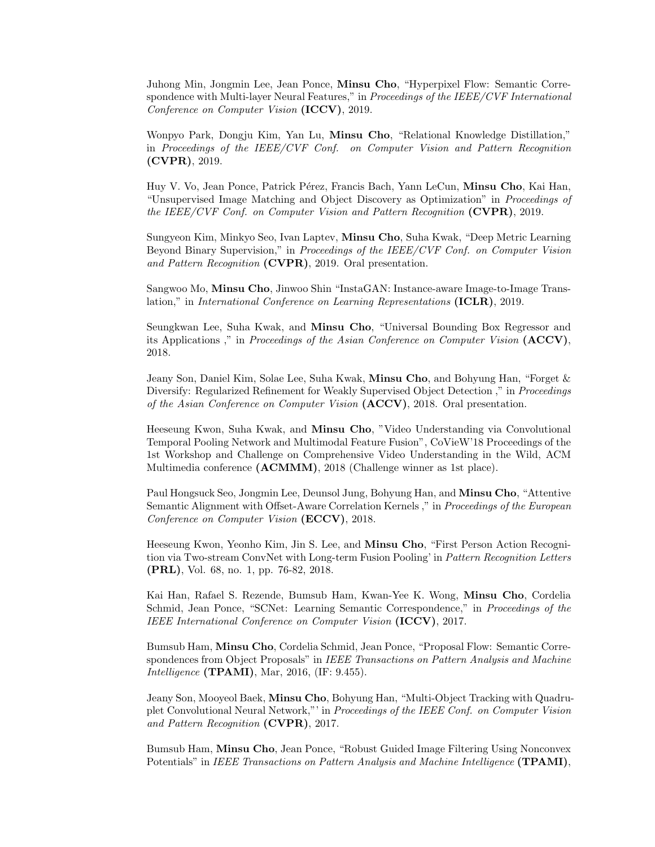Juhong Min, Jongmin Lee, Jean Ponce, Minsu Cho, "Hyperpixel Flow: Semantic Correspondence with Multi-layer Neural Features," in Proceedings of the IEEE/CVF International Conference on Computer Vision (ICCV), 2019.

Wonpyo Park, Dongju Kim, Yan Lu, Minsu Cho, "Relational Knowledge Distillation," in Proceedings of the IEEE/CVF Conf. on Computer Vision and Pattern Recognition (CVPR), 2019.

Huy V. Vo, Jean Ponce, Patrick Pérez, Francis Bach, Yann LeCun, Minsu Cho, Kai Han, "Unsupervised Image Matching and Object Discovery as Optimization" in Proceedings of the IEEE/CVF Conf. on Computer Vision and Pattern Recognition (CVPR), 2019.

Sungyeon Kim, Minkyo Seo, Ivan Laptev, Minsu Cho, Suha Kwak, "Deep Metric Learning Beyond Binary Supervision," in Proceedings of the IEEE/CVF Conf. on Computer Vision and Pattern Recognition (CVPR), 2019. Oral presentation.

Sangwoo Mo, Minsu Cho, Jinwoo Shin "InstaGAN: Instance-aware Image-to-Image Translation," in International Conference on Learning Representations (ICLR), 2019.

Seungkwan Lee, Suha Kwak, and Minsu Cho, "Universal Bounding Box Regressor and its Applications ," in Proceedings of the Asian Conference on Computer Vision  $(ACCV)$ , 2018.

Jeany Son, Daniel Kim, Solae Lee, Suha Kwak, Minsu Cho, and Bohyung Han, "Forget & Diversify: Regularized Refinement for Weakly Supervised Object Detection ," in Proceedings of the Asian Conference on Computer Vision (ACCV), 2018. Oral presentation.

Heeseung Kwon, Suha Kwak, and Minsu Cho, "Video Understanding via Convolutional Temporal Pooling Network and Multimodal Feature Fusion", CoVieW'18 Proceedings of the 1st Workshop and Challenge on Comprehensive Video Understanding in the Wild, ACM Multimedia conference (ACMMM), 2018 (Challenge winner as 1st place).

Paul Hongsuck Seo, Jongmin Lee, Deunsol Jung, Bohyung Han, and Minsu Cho, "Attentive Semantic Alignment with Offset-Aware Correlation Kernels ," in Proceedings of the European Conference on Computer Vision (ECCV), 2018.

Heeseung Kwon, Yeonho Kim, Jin S. Lee, and Minsu Cho, "First Person Action Recognition via Two-stream ConvNet with Long-term Fusion Pooling' in Pattern Recognition Letters (PRL), Vol. 68, no. 1, pp. 76-82, 2018.

Kai Han, Rafael S. Rezende, Bumsub Ham, Kwan-Yee K. Wong, Minsu Cho, Cordelia Schmid, Jean Ponce, "SCNet: Learning Semantic Correspondence," in Proceedings of the IEEE International Conference on Computer Vision (ICCV), 2017.

Bumsub Ham, Minsu Cho, Cordelia Schmid, Jean Ponce, "Proposal Flow: Semantic Correspondences from Object Proposals" in IEEE Transactions on Pattern Analysis and Machine Intelligence (TPAMI), Mar, 2016, (IF: 9.455).

Jeany Son, Mooyeol Baek, Minsu Cho, Bohyung Han, "Multi-Object Tracking with Quadruplet Convolutional Neural Network,"' in Proceedings of the IEEE Conf. on Computer Vision and Pattern Recognition (CVPR), 2017.

Bumsub Ham, Minsu Cho, Jean Ponce, "Robust Guided Image Filtering Using Nonconvex Potentials" in IEEE Transactions on Pattern Analysis and Machine Intelligence (**TPAMI**),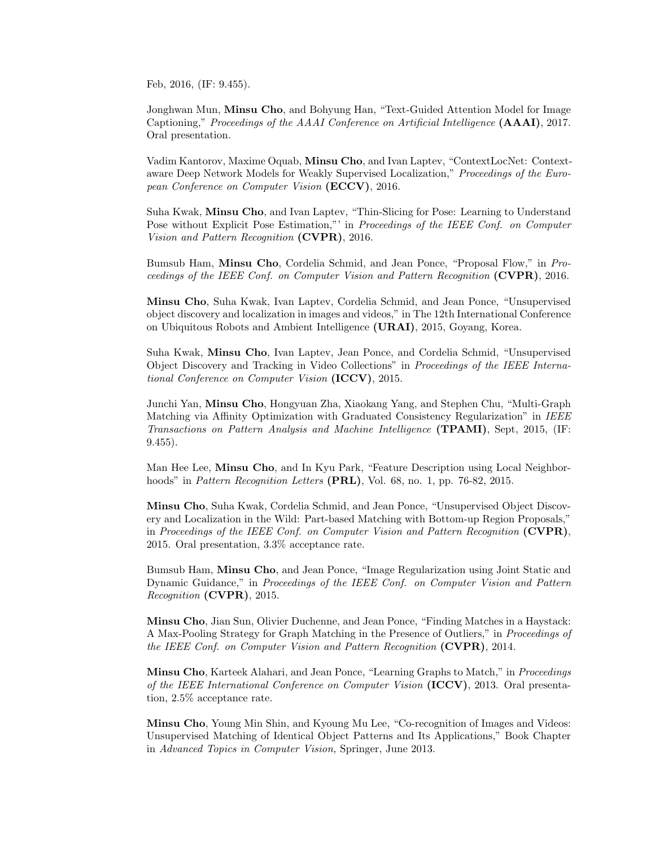Feb, 2016, (IF: 9.455).

Jonghwan Mun, Minsu Cho, and Bohyung Han, "Text-Guided Attention Model for Image Captioning," Proceedings of the AAAI Conference on Artificial Intelligence (AAAI), 2017. Oral presentation.

Vadim Kantorov, Maxime Oquab, Minsu Cho, and Ivan Laptev, "ContextLocNet: Contextaware Deep Network Models for Weakly Supervised Localization," Proceedings of the European Conference on Computer Vision (ECCV), 2016.

Suha Kwak, Minsu Cho, and Ivan Laptev, "Thin-Slicing for Pose: Learning to Understand Pose without Explicit Pose Estimation,"' in Proceedings of the IEEE Conf. on Computer Vision and Pattern Recognition (CVPR), 2016.

Bumsub Ham, Minsu Cho, Cordelia Schmid, and Jean Ponce, "Proposal Flow," in Proceedings of the IEEE Conf. on Computer Vision and Pattern Recognition (CVPR), 2016.

Minsu Cho, Suha Kwak, Ivan Laptev, Cordelia Schmid, and Jean Ponce, "Unsupervised object discovery and localization in images and videos," in The 12th International Conference on Ubiquitous Robots and Ambient Intelligence (URAI), 2015, Goyang, Korea.

Suha Kwak, Minsu Cho, Ivan Laptev, Jean Ponce, and Cordelia Schmid, "Unsupervised Object Discovery and Tracking in Video Collections" in Proceedings of the IEEE International Conference on Computer Vision (ICCV), 2015.

Junchi Yan, Minsu Cho, Hongyuan Zha, Xiaokang Yang, and Stephen Chu, "Multi-Graph Matching via Affinity Optimization with Graduated Consistency Regularization" in IEEE Transactions on Pattern Analysis and Machine Intelligence (TPAMI), Sept, 2015, (IF: 9.455).

Man Hee Lee, Minsu Cho, and In Kyu Park, "Feature Description using Local Neighborhoods" in Pattern Recognition Letters (PRL), Vol. 68, no. 1, pp. 76-82, 2015.

Minsu Cho, Suha Kwak, Cordelia Schmid, and Jean Ponce, "Unsupervised Object Discovery and Localization in the Wild: Part-based Matching with Bottom-up Region Proposals," in Proceedings of the IEEE Conf. on Computer Vision and Pattern Recognition (CVPR), 2015. Oral presentation, 3.3% acceptance rate.

Bumsub Ham, Minsu Cho, and Jean Ponce, "Image Regularization using Joint Static and Dynamic Guidance," in Proceedings of the IEEE Conf. on Computer Vision and Pattern Recognition (CVPR), 2015.

Minsu Cho, Jian Sun, Olivier Duchenne, and Jean Ponce, "Finding Matches in a Haystack: A Max-Pooling Strategy for Graph Matching in the Presence of Outliers," in Proceedings of the IEEE Conf. on Computer Vision and Pattern Recognition (CVPR), 2014.

Minsu Cho, Karteek Alahari, and Jean Ponce, "Learning Graphs to Match," in Proceedings of the IEEE International Conference on Computer Vision (ICCV), 2013. Oral presentation, 2.5% acceptance rate.

Minsu Cho, Young Min Shin, and Kyoung Mu Lee, "Co-recognition of Images and Videos: Unsupervised Matching of Identical Object Patterns and Its Applications," Book Chapter in Advanced Topics in Computer Vision, Springer, June 2013.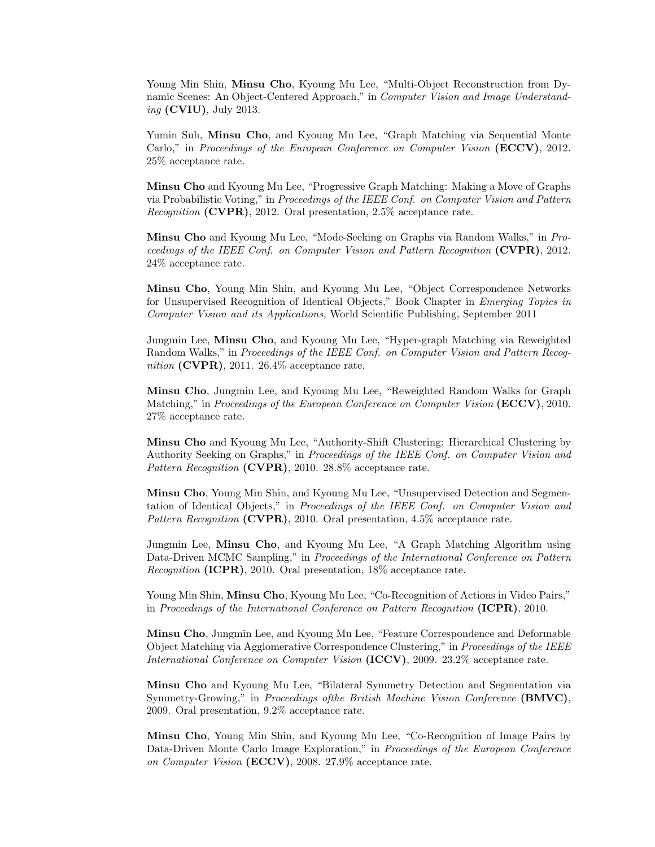Young Min Shin, Minsu Cho, Kyoung Mu Lee, "Multi-Object Reconstruction from Dynamic Scenes: An Object-Centered Approach," in Computer Vision and Image Understanding (CVIU), July 2013.

Yumin Suh, Minsu Cho, and Kyoung Mu Lee, "Graph Matching via Sequential Monte Carlo," in Proceedings of the European Conference on Computer Vision (ECCV), 2012. 25% acceptance rate.

Minsu Cho and Kyoung Mu Lee, "Progressive Graph Matching: Making a Move of Graphs via Probabilistic Voting," in Proceedings of the IEEE Conf. on Computer Vision and Pattern Recognition (CVPR), 2012. Oral presentation, 2.5% acceptance rate.

Minsu Cho and Kyoung Mu Lee, "Mode-Seeking on Graphs via Random Walks," in Proceedings of the IEEE Conf. on Computer Vision and Pattern Recognition (CVPR), 2012. 24% acceptance rate.

Minsu Cho, Young Min Shin, and Kyoung Mu Lee, "Object Correspondence Networks for Unsupervised Recognition of Identical Objects," Book Chapter in Emerging Topics in Computer Vision and its Applications, World Scientific Publishing, September 2011

Jungmin Lee, Minsu Cho, and Kyoung Mu Lee, "Hyper-graph Matching via Reweighted Random Walks," in Proceedings of the IEEE Conf. on Computer Vision and Pattern Recognition (CVPR), 2011. 26.4% acceptance rate.

Minsu Cho, Jungmin Lee, and Kyoung Mu Lee, "Reweighted Random Walks for Graph Matching," in Proceedings of the European Conference on Computer Vision (ECCV), 2010. 27% acceptance rate.

Minsu Cho and Kyoung Mu Lee, "Authority-Shift Clustering: Hierarchical Clustering by Authority Seeking on Graphs," in Proceedings of the IEEE Conf. on Computer Vision and Pattern Recognition (CVPR), 2010. 28.8% acceptance rate.

Minsu Cho, Young Min Shin, and Kyoung Mu Lee, "Unsupervised Detection and Segmentation of Identical Objects," in Proceedings of the IEEE Conf. on Computer Vision and Pattern Recognition (CVPR), 2010. Oral presentation, 4.5% acceptance rate.

Jungmin Lee, Minsu Cho, and Kyoung Mu Lee, "A Graph Matching Algorithm using Data-Driven MCMC Sampling," in Proceedings of the International Conference on Pattern Recognition (ICPR), 2010. Oral presentation, 18% acceptance rate.

Young Min Shin, Minsu Cho, Kyoung Mu Lee, "Co-Recognition of Actions in Video Pairs," in Proceedings of the International Conference on Pattern Recognition (ICPR), 2010.

Minsu Cho, Jungmin Lee, and Kyoung Mu Lee, "Feature Correspondence and Deformable Object Matching via Agglomerative Correspondence Clustering," in Proceedings of the IEEE International Conference on Computer Vision (ICCV), 2009. 23.2% acceptance rate.

Minsu Cho and Kyoung Mu Lee, "Bilateral Symmetry Detection and Segmentation via Symmetry-Growing," in Proceedings ofthe British Machine Vision Conference (BMVC), 2009. Oral presentation, 9.2% acceptance rate.

Minsu Cho, Young Min Shin, and Kyoung Mu Lee, "Co-Recognition of Image Pairs by Data-Driven Monte Carlo Image Exploration," in Proceedings of the European Conference on Computer Vision (ECCV), 2008. 27.9% acceptance rate.